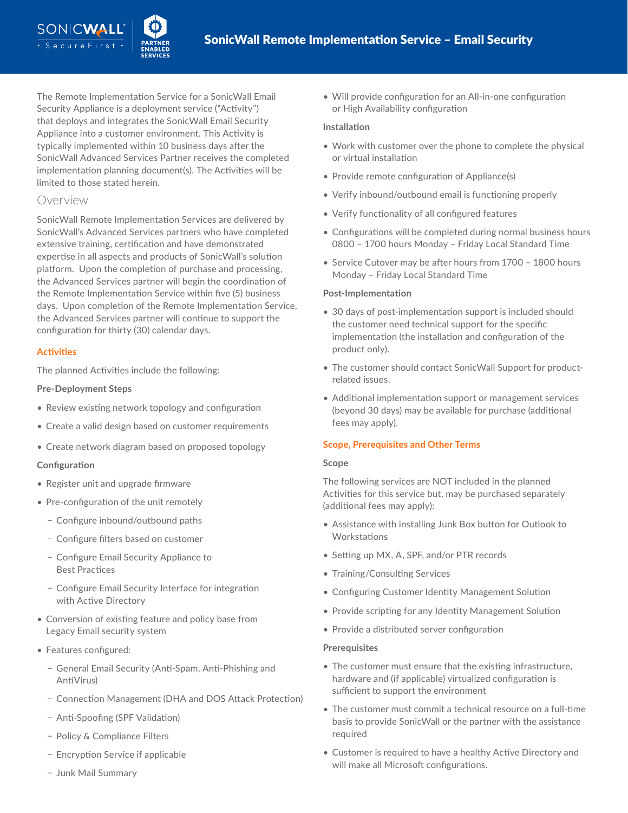The Remote Implementation Service for a SonicWall Email Security Appliance is a deployment service ("Activity") that deploys and integrates the SonicWall Email Security Appliance into a customer environment. This Activity is typically implemented within 10 business days after the SonicWall Advanced Services Partner receives the completed implementation planning document(s). The Activities will be limited to those stated herein.

## Overview

SONICWALI

SonicWall Remote Implementation Services are delivered by SonicWall's Advanced Services partners who have completed extensive training, certification and have demonstrated expertise in all aspects and products of SonicWall's solution platform. Upon the completion of purchase and processing, the Advanced Services partner will begin the coordination of the Remote Implementation Service within five (5) business days. Upon completion of the Remote Implementation Service, the Advanced Services partner will continue to support the configuration for thirty (30) calendar days.

## **Activities**

The planned Activities include the following:

## **Pre-Deployment Steps**

- Review existing network topology and configuration
- Create a valid design based on customer requirements
- Create network diagram based on proposed topology

## **Configuration**

- Register unit and upgrade firmware
- Pre-configuration of the unit remotely
	- − Configure inbound/outbound paths
	- − Configure filters based on customer
	- − Configure Email Security Appliance to Best Practices
	- − Configure Email Security Interface for integration with Active Directory
- Conversion of existing feature and policy base from Legacy Email security system
- Features configured:
	- − General Email Security (Anti-Spam, Anti-Phishing and AntiVirus)
	- − Connection Management (DHA and DOS Attack Protection)
	- − Anti-Spoofing (SPF Validation)
	- − Policy & Compliance Filters
	- − Encryption Service if applicable
	- − Junk Mail Summary

• Will provide configuration for an All-in-one configuration or High Availability configuration

#### **Installation**

- Work with customer over the phone to complete the physical or virtual installation
- Provide remote configuration of Appliance(s)
- Verify inbound/outbound email is functioning properly
- Verify functionality of all configured features
- Configurations will be completed during normal business hours 0800 – 1700 hours Monday – Friday Local Standard Time
- Service Cutover may be after hours from 1700 1800 hours Monday – Friday Local Standard Time

#### **Post-Implementation**

- 30 days of post-implementation support is included should the customer need technical support for the specific implementation (the installation and configuration of the product only).
- The customer should contact SonicWall Support for productrelated issues.
- Additional implementation support or management services (beyond 30 days) may be available for purchase (additional fees may apply).

## **Scope, Prerequisites and Other Terms**

#### **Scope**

The following services are NOT included in the planned Activities for this service but, may be purchased separately (additional fees may apply):

- Assistance with installing Junk Box button for Outlook to **Workstations**
- Setting up MX, A, SPF, and/or PTR records
- Training/Consulting Services
- Configuring Customer Identity Management Solution
- Provide scripting for any Identity Management Solution
- Provide a distributed server configuration

#### **Prerequisites**

- The customer must ensure that the existing infrastructure, hardware and (if applicable) virtualized configuration is sufficient to support the environment
- The customer must commit a technical resource on a full-time basis to provide SonicWall or the partner with the assistance required
- Customer is required to have a healthy Active Directory and will make all Microsoft configurations.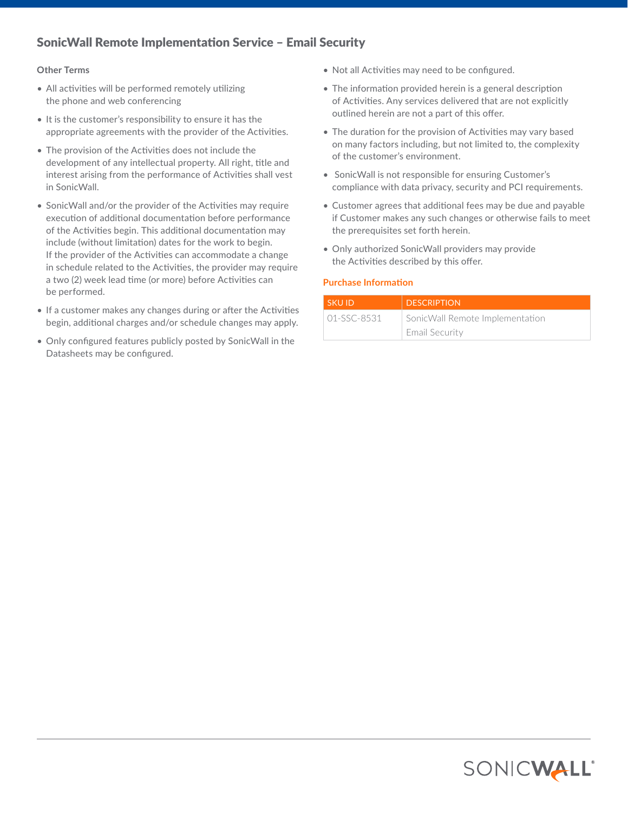# SonicWall Remote Implementation Service – Email Security

#### **Other Terms**

- All activities will be performed remotely utilizing the phone and web conferencing
- It is the customer's responsibility to ensure it has the appropriate agreements with the provider of the Activities.
- The provision of the Activities does not include the development of any intellectual property. All right, title and interest arising from the performance of Activities shall vest in SonicWall.
- SonicWall and/or the provider of the Activities may require execution of additional documentation before performance of the Activities begin. This additional documentation may include (without limitation) dates for the work to begin. If the provider of the Activities can accommodate a change in schedule related to the Activities, the provider may require a two (2) week lead time (or more) before Activities can be performed.
- If a customer makes any changes during or after the Activities begin, additional charges and/or schedule changes may apply.
- Only configured features publicly posted by SonicWall in the Datasheets may be configured.
- Not all Activities may need to be configured.
- The information provided herein is a general description of Activities. Any services delivered that are not explicitly outlined herein are not a part of this offer.
- The duration for the provision of Activities may vary based on many factors including, but not limited to, the complexity of the customer's environment.
- SonicWall is not responsible for ensuring Customer's compliance with data privacy, security and PCI requirements.
- Customer agrees that additional fees may be due and payable if Customer makes any such changes or otherwise fails to meet the prerequisites set forth herein.
- Only authorized SonicWall providers may provide the Activities described by this offer.

#### **Purchase Information**

| SKU ID            | <b>DESCRIPTION</b>              |
|-------------------|---------------------------------|
| $01 - SSC - 8531$ | SonicWall Remote Implementation |
|                   | Email Security                  |